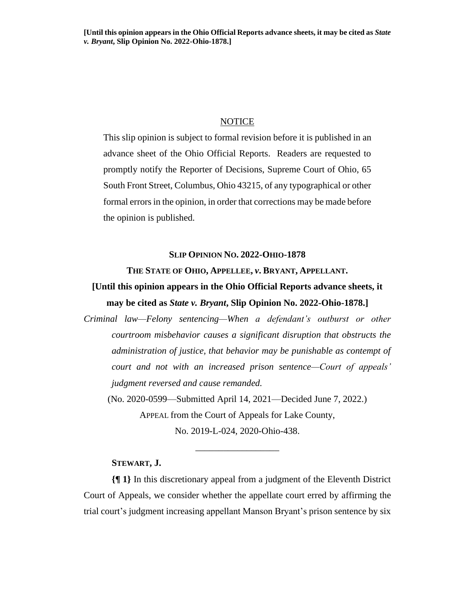## **NOTICE**

This slip opinion is subject to formal revision before it is published in an advance sheet of the Ohio Official Reports. Readers are requested to promptly notify the Reporter of Decisions, Supreme Court of Ohio, 65 South Front Street, Columbus, Ohio 43215, of any typographical or other formal errors in the opinion, in order that corrections may be made before the opinion is published.

## **SLIP OPINION NO. 2022-OHIO-1878**

## **THE STATE OF OHIO, APPELLEE,** *v***. BRYANT, APPELLANT.**

# **[Until this opinion appears in the Ohio Official Reports advance sheets, it may be cited as** *State v. Bryant***, Slip Opinion No. 2022-Ohio-1878.]**

*Criminal law—Felony sentencing—When a defendant's outburst or other courtroom misbehavior causes a significant disruption that obstructs the administration of justice, that behavior may be punishable as contempt of court and not with an increased prison sentence—Court of appeals' judgment reversed and cause remanded.*

(No. 2020-0599—Submitted April 14, 2021—Decided June 7, 2022.) APPEAL from the Court of Appeals for Lake County,

No. 2019-L-024, 2020-Ohio-438. \_\_\_\_\_\_\_\_\_\_\_\_\_\_\_\_\_\_

## **STEWART, J.**

**{¶ 1}** In this discretionary appeal from a judgment of the Eleventh District Court of Appeals, we consider whether the appellate court erred by affirming the trial court's judgment increasing appellant Manson Bryant's prison sentence by six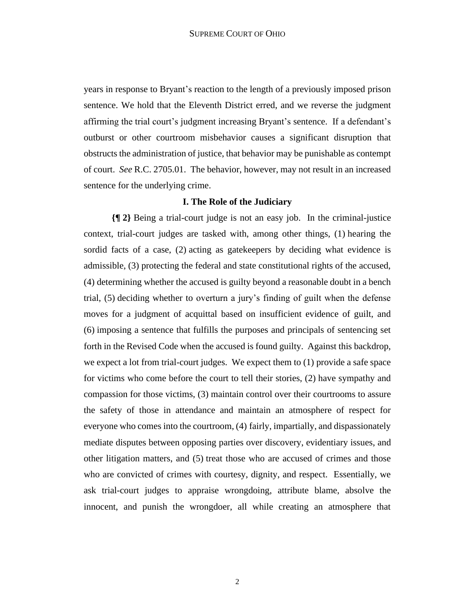years in response to Bryant's reaction to the length of a previously imposed prison sentence. We hold that the Eleventh District erred, and we reverse the judgment affirming the trial court's judgment increasing Bryant's sentence. If a defendant's outburst or other courtroom misbehavior causes a significant disruption that obstructs the administration of justice, that behavior may be punishable as contempt of court. *See* R.C. 2705.01. The behavior, however, may not result in an increased sentence for the underlying crime.

## **I. The Role of the Judiciary**

**{¶ 2}** Being a trial-court judge is not an easy job. In the criminal-justice context, trial-court judges are tasked with, among other things, (1) hearing the sordid facts of a case, (2) acting as gatekeepers by deciding what evidence is admissible, (3) protecting the federal and state constitutional rights of the accused, (4) determining whether the accused is guilty beyond a reasonable doubt in a bench trial, (5) deciding whether to overturn a jury's finding of guilt when the defense moves for a judgment of acquittal based on insufficient evidence of guilt, and (6) imposing a sentence that fulfills the purposes and principals of sentencing set forth in the Revised Code when the accused is found guilty. Against this backdrop, we expect a lot from trial-court judges. We expect them to (1) provide a safe space for victims who come before the court to tell their stories, (2) have sympathy and compassion for those victims, (3) maintain control over their courtrooms to assure the safety of those in attendance and maintain an atmosphere of respect for everyone who comes into the courtroom, (4) fairly, impartially, and dispassionately mediate disputes between opposing parties over discovery, evidentiary issues, and other litigation matters, and (5) treat those who are accused of crimes and those who are convicted of crimes with courtesy, dignity, and respect. Essentially, we ask trial-court judges to appraise wrongdoing, attribute blame, absolve the innocent, and punish the wrongdoer, all while creating an atmosphere that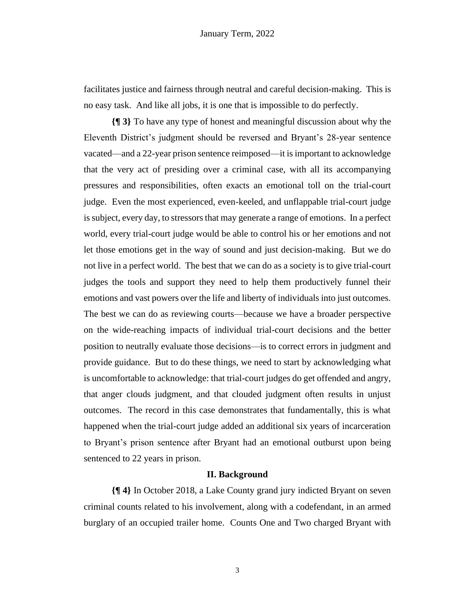facilitates justice and fairness through neutral and careful decision-making. This is no easy task. And like all jobs, it is one that is impossible to do perfectly.

**{¶ 3}** To have any type of honest and meaningful discussion about why the Eleventh District's judgment should be reversed and Bryant's 28-year sentence vacated—and a 22-year prison sentence reimposed—it is important to acknowledge that the very act of presiding over a criminal case, with all its accompanying pressures and responsibilities, often exacts an emotional toll on the trial-court judge. Even the most experienced, even-keeled, and unflappable trial-court judge is subject, every day, to stressors that may generate a range of emotions. In a perfect world, every trial-court judge would be able to control his or her emotions and not let those emotions get in the way of sound and just decision-making. But we do not live in a perfect world. The best that we can do as a society is to give trial-court judges the tools and support they need to help them productively funnel their emotions and vast powers over the life and liberty of individuals into just outcomes. The best we can do as reviewing courts—because we have a broader perspective on the wide-reaching impacts of individual trial-court decisions and the better position to neutrally evaluate those decisions—is to correct errors in judgment and provide guidance. But to do these things, we need to start by acknowledging what is uncomfortable to acknowledge: that trial-court judges do get offended and angry, that anger clouds judgment, and that clouded judgment often results in unjust outcomes. The record in this case demonstrates that fundamentally, this is what happened when the trial-court judge added an additional six years of incarceration to Bryant's prison sentence after Bryant had an emotional outburst upon being sentenced to 22 years in prison.

#### **II. Background**

**{¶ 4}** In October 2018, a Lake County grand jury indicted Bryant on seven criminal counts related to his involvement, along with a codefendant, in an armed burglary of an occupied trailer home. Counts One and Two charged Bryant with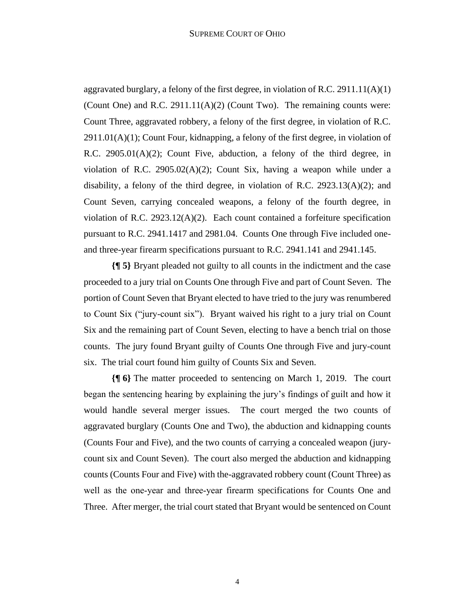aggravated burglary, a felony of the first degree, in violation of R.C. 2911.11(A)(1) (Count One) and R.C.  $2911.11(A)(2)$  (Count Two). The remaining counts were: Count Three, aggravated robbery, a felony of the first degree, in violation of R.C.  $2911.01(A)(1)$ ; Count Four, kidnapping, a felony of the first degree, in violation of R.C. 2905.01(A)(2); Count Five, abduction, a felony of the third degree, in violation of R.C. 2905.02(A)(2); Count Six, having a weapon while under a disability, a felony of the third degree, in violation of R.C. 2923.13(A)(2); and Count Seven, carrying concealed weapons, a felony of the fourth degree, in violation of R.C. 2923.12(A)(2). Each count contained a forfeiture specification pursuant to R.C. 2941.1417 and 2981.04. Counts One through Five included oneand three-year firearm specifications pursuant to R.C. 2941.141 and 2941.145.

**{¶ 5}** Bryant pleaded not guilty to all counts in the indictment and the case proceeded to a jury trial on Counts One through Five and part of Count Seven. The portion of Count Seven that Bryant elected to have tried to the jury was renumbered to Count Six ("jury-count six"). Bryant waived his right to a jury trial on Count Six and the remaining part of Count Seven, electing to have a bench trial on those counts. The jury found Bryant guilty of Counts One through Five and jury-count six. The trial court found him guilty of Counts Six and Seven.

**{¶ 6}** The matter proceeded to sentencing on March 1, 2019. The court began the sentencing hearing by explaining the jury's findings of guilt and how it would handle several merger issues. The court merged the two counts of aggravated burglary (Counts One and Two), the abduction and kidnapping counts (Counts Four and Five), and the two counts of carrying a concealed weapon (jurycount six and Count Seven). The court also merged the abduction and kidnapping counts (Counts Four and Five) with the-aggravated robbery count (Count Three) as well as the one‐year and three‐year firearm specifications for Counts One and Three. After merger, the trial court stated that Bryant would be sentenced on Count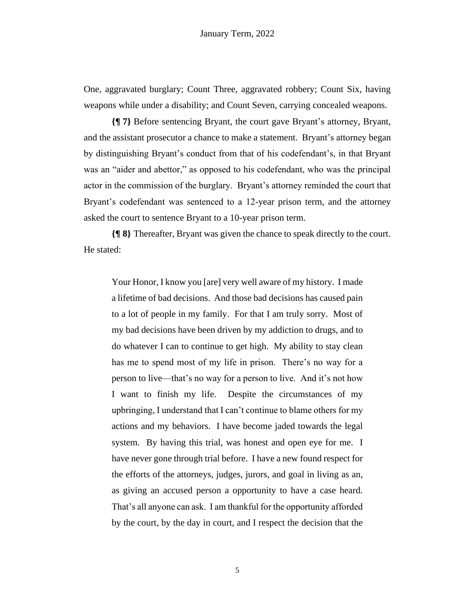One, aggravated burglary; Count Three, aggravated robbery; Count Six, having weapons while under a disability; and Count Seven, carrying concealed weapons.

**{¶ 7}** Before sentencing Bryant, the court gave Bryant's attorney, Bryant, and the assistant prosecutor a chance to make a statement. Bryant's attorney began by distinguishing Bryant's conduct from that of his codefendant's, in that Bryant was an "aider and abettor," as opposed to his codefendant, who was the principal actor in the commission of the burglary. Bryant's attorney reminded the court that Bryant's codefendant was sentenced to a 12-year prison term, and the attorney asked the court to sentence Bryant to a 10-year prison term.

**{¶ 8}** Thereafter, Bryant was given the chance to speak directly to the court. He stated:

Your Honor, I know you [are] very well aware of my history. I made a lifetime of bad decisions. And those bad decisions has caused pain to a lot of people in my family. For that I am truly sorry. Most of my bad decisions have been driven by my addiction to drugs, and to do whatever I can to continue to get high. My ability to stay clean has me to spend most of my life in prison. There's no way for a person to live—that's no way for a person to live. And it's not how I want to finish my life. Despite the circumstances of my upbringing, I understand that I can't continue to blame others for my actions and my behaviors. I have become jaded towards the legal system. By having this trial, was honest and open eye for me. I have never gone through trial before. I have a new found respect for the efforts of the attorneys, judges, jurors, and goal in living as an, as giving an accused person a opportunity to have a case heard. That's all anyone can ask. I am thankful for the opportunity afforded by the court, by the day in court, and I respect the decision that the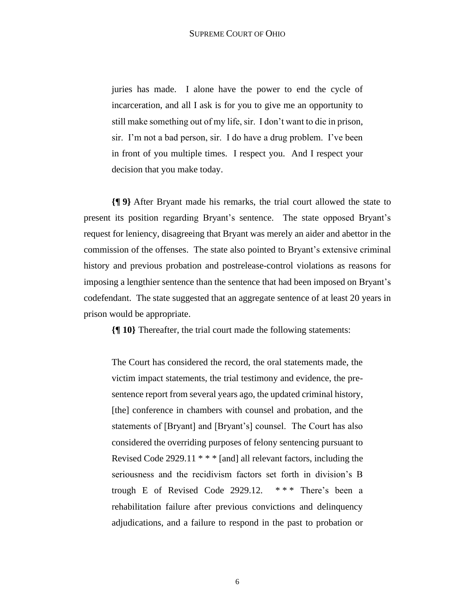juries has made. I alone have the power to end the cycle of incarceration, and all I ask is for you to give me an opportunity to still make something out of my life, sir. I don't want to die in prison, sir. I'm not a bad person, sir. I do have a drug problem. I've been in front of you multiple times. I respect you. And I respect your decision that you make today.

**{¶ 9}** After Bryant made his remarks, the trial court allowed the state to present its position regarding Bryant's sentence. The state opposed Bryant's request for leniency, disagreeing that Bryant was merely an aider and abettor in the commission of the offenses. The state also pointed to Bryant's extensive criminal history and previous probation and postrelease-control violations as reasons for imposing a lengthier sentence than the sentence that had been imposed on Bryant's codefendant. The state suggested that an aggregate sentence of at least 20 years in prison would be appropriate.

**{¶ 10}** Thereafter, the trial court made the following statements:

The Court has considered the record, the oral statements made, the victim impact statements, the trial testimony and evidence, the presentence report from several years ago, the updated criminal history, [the] conference in chambers with counsel and probation, and the statements of [Bryant] and [Bryant's] counsel. The Court has also considered the overriding purposes of felony sentencing pursuant to Revised Code 2929.11  $***$  [and] all relevant factors, including the seriousness and the recidivism factors set forth in division's B trough E of Revised Code 2929.12.  $***$  There's been a rehabilitation failure after previous convictions and delinquency adjudications, and a failure to respond in the past to probation or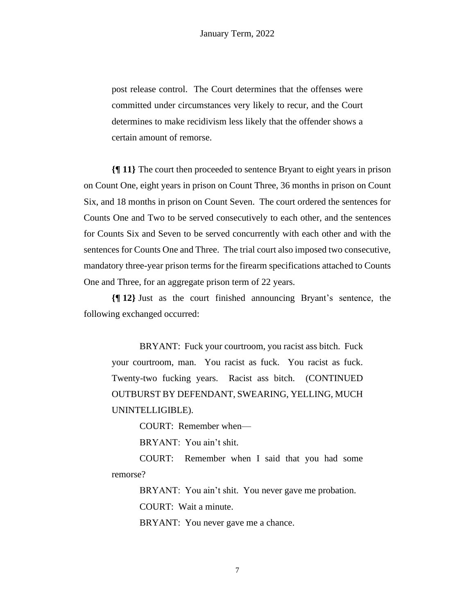post release control. The Court determines that the offenses were committed under circumstances very likely to recur, and the Court determines to make recidivism less likely that the offender shows a certain amount of remorse.

**{¶ 11}** The court then proceeded to sentence Bryant to eight years in prison on Count One, eight years in prison on Count Three, 36 months in prison on Count Six, and 18 months in prison on Count Seven. The court ordered the sentences for Counts One and Two to be served consecutively to each other, and the sentences for Counts Six and Seven to be served concurrently with each other and with the sentences for Counts One and Three. The trial court also imposed two consecutive, mandatory three-year prison terms for the firearm specifications attached to Counts One and Three, for an aggregate prison term of 22 years.

**{¶ 12}** Just as the court finished announcing Bryant's sentence, the following exchanged occurred:

BRYANT: Fuck your courtroom, you racist ass bitch. Fuck your courtroom, man. You racist as fuck. You racist as fuck. Twenty-two fucking years. Racist ass bitch. (CONTINUED OUTBURST BY DEFENDANT, SWEARING, YELLING, MUCH UNINTELLIGIBLE).

COURT: Remember when—

BRYANT: You ain't shit.

COURT: Remember when I said that you had some remorse?

BRYANT: You ain't shit. You never gave me probation.

COURT: Wait a minute.

BRYANT: You never gave me a chance.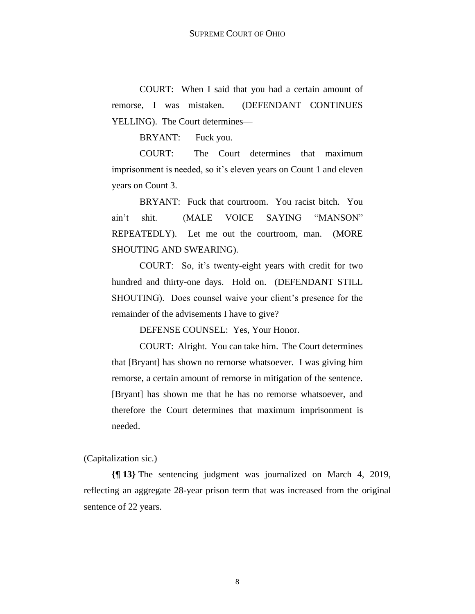COURT: When I said that you had a certain amount of remorse, I was mistaken. (DEFENDANT CONTINUES YELLING). The Court determines—

BRYANT: Fuck you.

COURT: The Court determines that maximum imprisonment is needed, so it's eleven years on Count 1 and eleven years on Count 3.

BRYANT: Fuck that courtroom. You racist bitch. You ain't shit. (MALE VOICE SAYING "MANSON" REPEATEDLY). Let me out the courtroom, man. (MORE SHOUTING AND SWEARING).

COURT: So, it's twenty-eight years with credit for two hundred and thirty-one days. Hold on. (DEFENDANT STILL SHOUTING). Does counsel waive your client's presence for the remainder of the advisements I have to give?

DEFENSE COUNSEL: Yes, Your Honor.

COURT: Alright. You can take him. The Court determines that [Bryant] has shown no remorse whatsoever. I was giving him remorse, a certain amount of remorse in mitigation of the sentence. [Bryant] has shown me that he has no remorse whatsoever, and therefore the Court determines that maximum imprisonment is needed.

(Capitalization sic.)

**{¶ 13}** The sentencing judgment was journalized on March 4, 2019, reflecting an aggregate 28-year prison term that was increased from the original sentence of 22 years.

8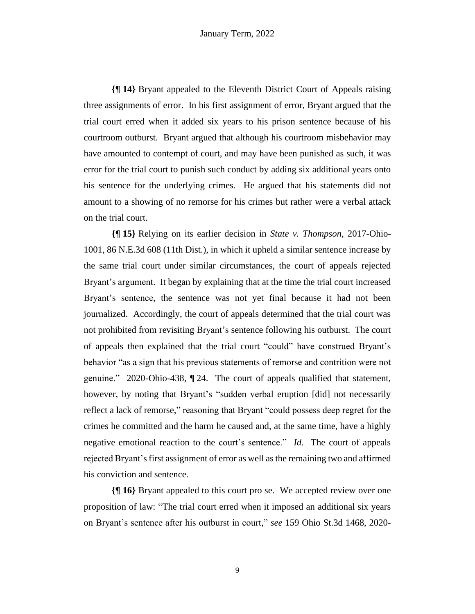**{¶ 14}** Bryant appealed to the Eleventh District Court of Appeals raising three assignments of error. In his first assignment of error, Bryant argued that the trial court erred when it added six years to his prison sentence because of his courtroom outburst. Bryant argued that although his courtroom misbehavior may have amounted to contempt of court, and may have been punished as such, it was error for the trial court to punish such conduct by adding six additional years onto his sentence for the underlying crimes. He argued that his statements did not amount to a showing of no remorse for his crimes but rather were a verbal attack on the trial court.

**{¶ 15}** Relying on its earlier decision in *State v. Thompson*, 2017-Ohio-1001, 86 N.E.3d 608 (11th Dist.), in which it upheld a similar sentence increase by the same trial court under similar circumstances, the court of appeals rejected Bryant's argument. It began by explaining that at the time the trial court increased Bryant's sentence, the sentence was not yet final because it had not been journalized. Accordingly, the court of appeals determined that the trial court was not prohibited from revisiting Bryant's sentence following his outburst. The court of appeals then explained that the trial court "could" have construed Bryant's behavior "as a sign that his previous statements of remorse and contrition were not genuine." 2020-Ohio-438, ¶ 24. The court of appeals qualified that statement, however, by noting that Bryant's "sudden verbal eruption [did] not necessarily reflect a lack of remorse," reasoning that Bryant "could possess deep regret for the crimes he committed and the harm he caused and, at the same time, have a highly negative emotional reaction to the court's sentence." *Id*. The court of appeals rejected Bryant's first assignment of error as well as the remaining two and affirmed his conviction and sentence.

**{¶ 16}** Bryant appealed to this court pro se. We accepted review over one proposition of law: "The trial court erred when it imposed an additional six years on Bryant's sentence after his outburst in court," *see* 159 Ohio St.3d 1468, 2020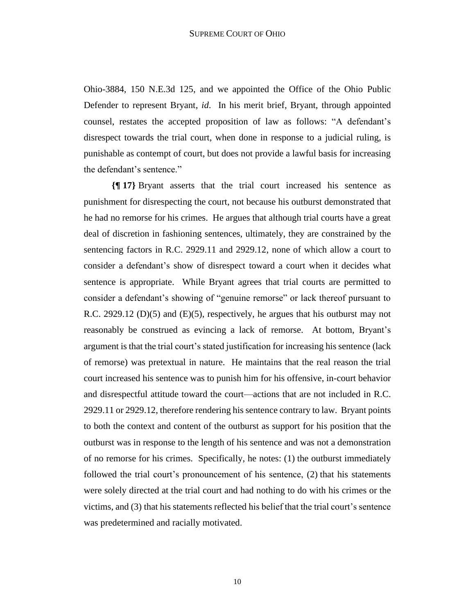Ohio-3884, 150 N.E.3d 125, and we appointed the Office of the Ohio Public Defender to represent Bryant, *id*. In his merit brief, Bryant, through appointed counsel, restates the accepted proposition of law as follows: "A defendant's disrespect towards the trial court, when done in response to a judicial ruling, is punishable as contempt of court, but does not provide a lawful basis for increasing the defendant's sentence."

**{¶ 17}** Bryant asserts that the trial court increased his sentence as punishment for disrespecting the court, not because his outburst demonstrated that he had no remorse for his crimes. He argues that although trial courts have a great deal of discretion in fashioning sentences, ultimately, they are constrained by the sentencing factors in R.C. 2929.11 and 2929.12, none of which allow a court to consider a defendant's show of disrespect toward a court when it decides what sentence is appropriate. While Bryant agrees that trial courts are permitted to consider a defendant's showing of "genuine remorse" or lack thereof pursuant to R.C. 2929.12 (D)(5) and (E)(5), respectively, he argues that his outburst may not reasonably be construed as evincing a lack of remorse. At bottom, Bryant's argument is that the trial court's stated justification for increasing his sentence (lack of remorse) was pretextual in nature. He maintains that the real reason the trial court increased his sentence was to punish him for his offensive, in-court behavior and disrespectful attitude toward the court—actions that are not included in R.C. 2929.11 or 2929.12, therefore rendering his sentence contrary to law. Bryant points to both the context and content of the outburst as support for his position that the outburst was in response to the length of his sentence and was not a demonstration of no remorse for his crimes. Specifically, he notes: (1) the outburst immediately followed the trial court's pronouncement of his sentence, (2) that his statements were solely directed at the trial court and had nothing to do with his crimes or the victims, and (3) that his statements reflected his belief that the trial court's sentence was predetermined and racially motivated.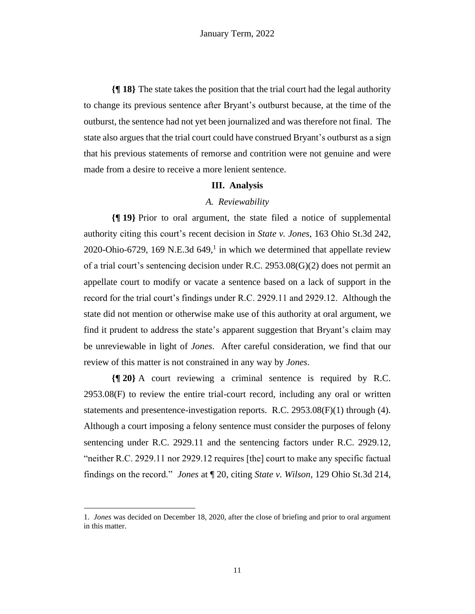**{¶ 18}** The state takes the position that the trial court had the legal authority to change its previous sentence after Bryant's outburst because, at the time of the outburst, the sentence had not yet been journalized and was therefore not final. The state also argues that the trial court could have construed Bryant's outburst as a sign that his previous statements of remorse and contrition were not genuine and were made from a desire to receive a more lenient sentence.

#### **III. Analysis**

## *A. Reviewability*

**{¶ 19}** Prior to oral argument, the state filed a notice of supplemental authority citing this court's recent decision in *State v. Jones*, 163 Ohio St.3d 242, 2020-Ohio-6729, 169 N.E.3d 649,<sup>1</sup> in which we determined that appellate review of a trial court's sentencing decision under R.C. 2953.08(G)(2) does not permit an appellate court to modify or vacate a sentence based on a lack of support in the record for the trial court's findings under R.C. 2929.11 and 2929.12. Although the state did not mention or otherwise make use of this authority at oral argument, we find it prudent to address the state's apparent suggestion that Bryant's claim may be unreviewable in light of *Jones*. After careful consideration, we find that our review of this matter is not constrained in any way by *Jones*.

**{¶ 20}** A court reviewing a criminal sentence is required by R.C. 2953.08(F) to review the entire trial-court record, including any oral or written statements and presentence-investigation reports. R.C. 2953.08(F)(1) through (4). Although a court imposing a felony sentence must consider the purposes of felony sentencing under R.C. 2929.11 and the sentencing factors under R.C. 2929.12, "neither R.C. 2929.11 nor 2929.12 requires [the] court to make any specific factual findings on the record." *Jones* at ¶ 20, citing *State v. Wilson*, 129 Ohio St.3d 214,

<sup>1.</sup> *Jones* was decided on December 18, 2020, after the close of briefing and prior to oral argument in this matter.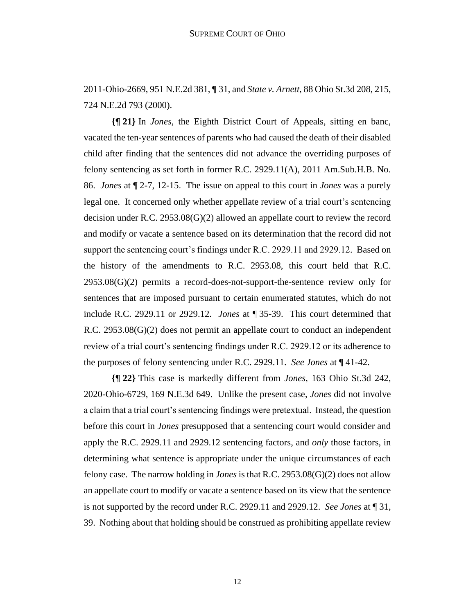2011-Ohio-2669, 951 N.E.2d 381, ¶ 31, and *State v. Arnett*, 88 Ohio St.3d 208, 215, 724 N.E.2d 793 (2000).

**{¶ 21}** In *Jones*, the Eighth District Court of Appeals, sitting en banc, vacated the ten-year sentences of parents who had caused the death of their disabled child after finding that the sentences did not advance the overriding purposes of felony sentencing as set forth in former R.C. 2929.11(A), 2011 Am.Sub.H.B. No. 86. *Jones* at ¶ 2-7, 12-15. The issue on appeal to this court in *Jones* was a purely legal one. It concerned only whether appellate review of a trial court's sentencing decision under R.C. 2953.08(G)(2) allowed an appellate court to review the record and modify or vacate a sentence based on its determination that the record did not support the sentencing court's findings under R.C. 2929.11 and 2929.12. Based on the history of the amendments to R.C. 2953.08, this court held that R.C.  $2953.08(G)(2)$  permits a record-does-not-support-the-sentence review only for sentences that are imposed pursuant to certain enumerated statutes, which do not include R.C. 2929.11 or 2929.12. *Jones* at ¶ 35-39. This court determined that R.C. 2953.08(G)(2) does not permit an appellate court to conduct an independent review of a trial court's sentencing findings under R.C. 2929.12 or its adherence to the purposes of felony sentencing under R.C. 2929.11. *See Jones* at ¶ 41-42.

**{¶ 22}** This case is markedly different from *Jones*, 163 Ohio St.3d 242, 2020-Ohio-6729, 169 N.E.3d 649. Unlike the present case, *Jones* did not involve a claim that a trial court's sentencing findings were pretextual. Instead, the question before this court in *Jones* presupposed that a sentencing court would consider and apply the R.C. 2929.11 and 2929.12 sentencing factors, and *only* those factors, in determining what sentence is appropriate under the unique circumstances of each felony case. The narrow holding in *Jones* is that R.C. 2953.08(G)(2) does not allow an appellate court to modify or vacate a sentence based on its view that the sentence is not supported by the record under R.C. 2929.11 and 2929.12. *See Jones* at ¶ 31, 39. Nothing about that holding should be construed as prohibiting appellate review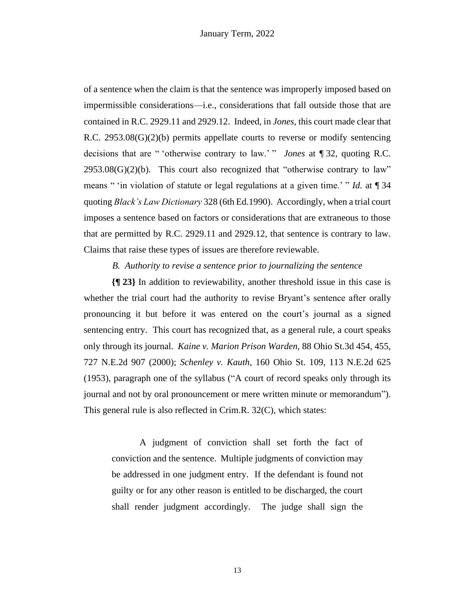of a sentence when the claim is that the sentence was improperly imposed based on impermissible considerations—i.e., considerations that fall outside those that are contained in R.C. 2929.11 and 2929.12. Indeed, in *Jones*, this court made clear that R.C.  $2953.08(G)(2)(b)$  permits appellate courts to reverse or modify sentencing decisions that are " 'otherwise contrary to law.' " *Jones* at ¶ 32, quoting R.C.  $2953.08(G)(2)(b)$ . This court also recognized that "otherwise contrary to law" means " 'in violation of statute or legal regulations at a given time.' " *Id.* at 134 quoting *Black's Law Dictionary* 328 (6th Ed.1990). Accordingly, when a trial court imposes a sentence based on factors or considerations that are extraneous to those that are permitted by R.C. 2929.11 and 2929.12, that sentence is contrary to law. Claims that raise these types of issues are therefore reviewable.

### *B. Authority to revise a sentence prior to journalizing the sentence*

**{¶ 23}** In addition to reviewability, another threshold issue in this case is whether the trial court had the authority to revise Bryant's sentence after orally pronouncing it but before it was entered on the court's journal as a signed sentencing entry. This court has recognized that, as a general rule, a court speaks only through its journal. *Kaine v. Marion Prison Warden*, 88 Ohio St.3d 454, 455, 727 N.E.2d 907 (2000); *Schenley v. Kauth*, 160 Ohio St. 109, 113 N.E.2d 625 (1953), paragraph one of the syllabus ("A court of record speaks only through its journal and not by oral pronouncement or mere written minute or memorandum"). This general rule is also reflected in Crim.R. 32(C), which states:

A judgment of conviction shall set forth the fact of conviction and the sentence. Multiple judgments of conviction may be addressed in one judgment entry. If the defendant is found not guilty or for any other reason is entitled to be discharged, the court shall render judgment accordingly. The judge shall sign the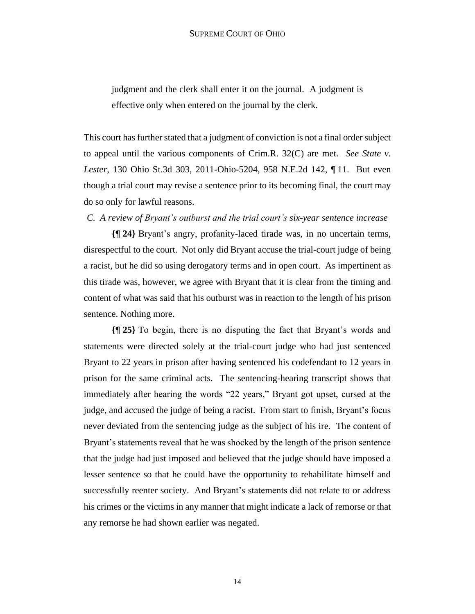judgment and the clerk shall enter it on the journal. A judgment is effective only when entered on the journal by the clerk.

This court has further stated that a judgment of conviction is not a final order subject to appeal until the various components of Crim.R. 32(C) are met. *See State v. Lester*, 130 Ohio St.3d 303, 2011-Ohio-5204, 958 N.E.2d 142, ¶ 11. But even though a trial court may revise a sentence prior to its becoming final, the court may do so only for lawful reasons.

*C. A review of Bryant's outburst and the trial court's six-year sentence increase*

**{¶ 24}** Bryant's angry, profanity-laced tirade was, in no uncertain terms, disrespectful to the court. Not only did Bryant accuse the trial-court judge of being a racist, but he did so using derogatory terms and in open court. As impertinent as this tirade was, however, we agree with Bryant that it is clear from the timing and content of what was said that his outburst was in reaction to the length of his prison sentence. Nothing more.

**{¶ 25}** To begin, there is no disputing the fact that Bryant's words and statements were directed solely at the trial-court judge who had just sentenced Bryant to 22 years in prison after having sentenced his codefendant to 12 years in prison for the same criminal acts. The sentencing-hearing transcript shows that immediately after hearing the words "22 years," Bryant got upset, cursed at the judge, and accused the judge of being a racist. From start to finish, Bryant's focus never deviated from the sentencing judge as the subject of his ire. The content of Bryant's statements reveal that he was shocked by the length of the prison sentence that the judge had just imposed and believed that the judge should have imposed a lesser sentence so that he could have the opportunity to rehabilitate himself and successfully reenter society. And Bryant's statements did not relate to or address his crimes or the victims in any manner that might indicate a lack of remorse or that any remorse he had shown earlier was negated.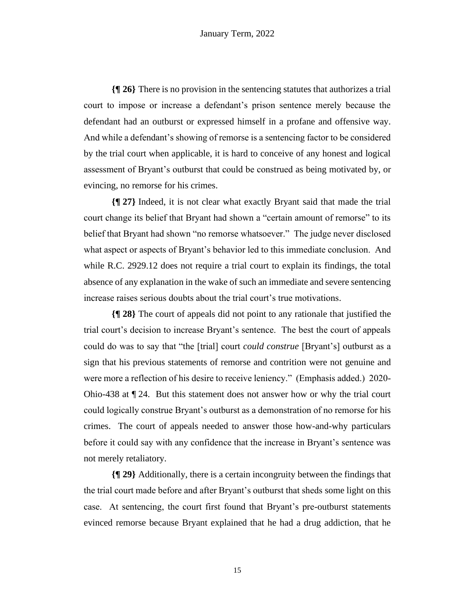**{¶ 26}** There is no provision in the sentencing statutes that authorizes a trial court to impose or increase a defendant's prison sentence merely because the defendant had an outburst or expressed himself in a profane and offensive way. And while a defendant's showing of remorse is a sentencing factor to be considered by the trial court when applicable, it is hard to conceive of any honest and logical assessment of Bryant's outburst that could be construed as being motivated by, or evincing, no remorse for his crimes.

**{¶ 27}** Indeed, it is not clear what exactly Bryant said that made the trial court change its belief that Bryant had shown a "certain amount of remorse" to its belief that Bryant had shown "no remorse whatsoever." The judge never disclosed what aspect or aspects of Bryant's behavior led to this immediate conclusion. And while R.C. 2929.12 does not require a trial court to explain its findings, the total absence of any explanation in the wake of such an immediate and severe sentencing increase raises serious doubts about the trial court's true motivations.

**{¶ 28}** The court of appeals did not point to any rationale that justified the trial court's decision to increase Bryant's sentence. The best the court of appeals could do was to say that "the [trial] court *could construe* [Bryant's] outburst as a sign that his previous statements of remorse and contrition were not genuine and were more a reflection of his desire to receive leniency." (Emphasis added.) 2020- Ohio-438 at ¶ 24. But this statement does not answer how or why the trial court could logically construe Bryant's outburst as a demonstration of no remorse for his crimes. The court of appeals needed to answer those how-and-why particulars before it could say with any confidence that the increase in Bryant's sentence was not merely retaliatory.

**{¶ 29}** Additionally, there is a certain incongruity between the findings that the trial court made before and after Bryant's outburst that sheds some light on this case. At sentencing, the court first found that Bryant's pre-outburst statements evinced remorse because Bryant explained that he had a drug addiction, that he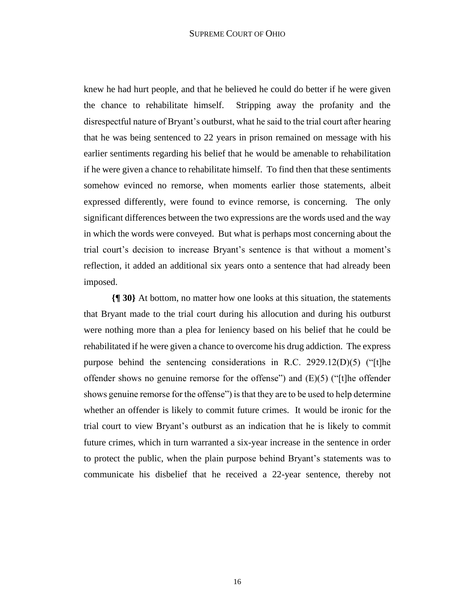knew he had hurt people, and that he believed he could do better if he were given the chance to rehabilitate himself. Stripping away the profanity and the disrespectful nature of Bryant's outburst, what he said to the trial court after hearing that he was being sentenced to 22 years in prison remained on message with his earlier sentiments regarding his belief that he would be amenable to rehabilitation if he were given a chance to rehabilitate himself. To find then that these sentiments somehow evinced no remorse, when moments earlier those statements, albeit expressed differently, were found to evince remorse, is concerning. The only significant differences between the two expressions are the words used and the way in which the words were conveyed. But what is perhaps most concerning about the trial court's decision to increase Bryant's sentence is that without a moment's reflection, it added an additional six years onto a sentence that had already been imposed.

**{¶ 30}** At bottom, no matter how one looks at this situation, the statements that Bryant made to the trial court during his allocution and during his outburst were nothing more than a plea for leniency based on his belief that he could be rehabilitated if he were given a chance to overcome his drug addiction. The express purpose behind the sentencing considerations in R.C. 2929.12(D)(5) ("[t]he offender shows no genuine remorse for the offense") and  $(E)(5)$  ("[t]he offender shows genuine remorse for the offense") is that they are to be used to help determine whether an offender is likely to commit future crimes. It would be ironic for the trial court to view Bryant's outburst as an indication that he is likely to commit future crimes, which in turn warranted a six-year increase in the sentence in order to protect the public, when the plain purpose behind Bryant's statements was to communicate his disbelief that he received a 22-year sentence, thereby not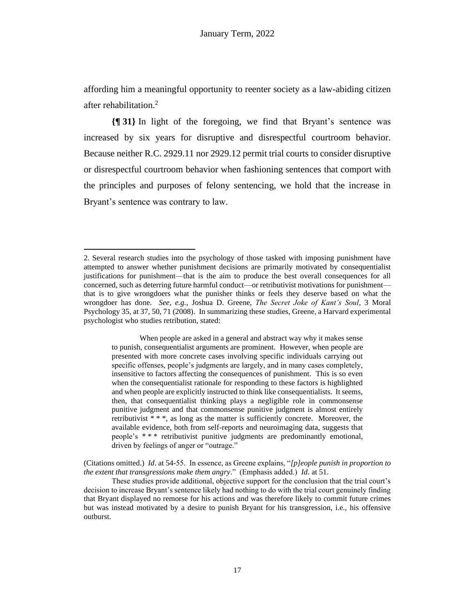affording him a meaningful opportunity to reenter society as a law-abiding citizen after rehabilitation.<sup>2</sup>

**{¶ 31}** In light of the foregoing, we find that Bryant's sentence was increased by six years for disruptive and disrespectful courtroom behavior. Because neither R.C. 2929.11 nor 2929.12 permit trial courts to consider disruptive or disrespectful courtroom behavior when fashioning sentences that comport with the principles and purposes of felony sentencing, we hold that the increase in Bryant's sentence was contrary to law.

When people are asked in a general and abstract way why it makes sense to punish, consequentialist arguments are prominent. However, when people are presented with more concrete cases involving specific individuals carrying out specific offenses, people's judgments are largely, and in many cases completely, insensitive to factors affecting the consequences of punishment. This is so even when the consequentialist rationale for responding to these factors is highlighted and when people are explicitly instructed to think like consequentialists. It seems, then, that consequentialist thinking plays a negligible role in commonsense punitive judgment and that commonsense punitive judgment is almost entirely retributivist \* \* \*, as long as the matter is sufficiently concrete. Moreover, the available evidence, both from self-reports and neuroimaging data, suggests that people's \* \* \* retributivist punitive judgments are predominantly emotional, driven by feelings of anger or "outrage."

(Citations omitted.) *Id*. at 54-55. In essence, as Greene explains, "*[p]eople punish in proportion to the extent that transgressions make them angry*." (Emphasis added.) *Id*. at 51.

<sup>2.</sup> Several research studies into the psychology of those tasked with imposing punishment have attempted to answer whether punishment decisions are primarily motivated by consequentialist justifications for punishment—that is the aim to produce the best overall consequences for all concerned, such as deterring future harmful conduct—or retributivist motivations for punishment that is to give wrongdoers what the punisher thinks or feels they deserve based on what the wrongdoer has done. *See, e.g.*, Joshua D. Greene, *The Secret Joke of Kant's Soul*, 3 Moral Psychology 35, at 37, 50, 71 (2008). In summarizing these studies, Greene, a Harvard experimental psychologist who studies retribution, stated:

These studies provide additional, objective support for the conclusion that the trial court's decision to increase Bryant's sentence likely had nothing to do with the trial court genuinely finding that Bryant displayed no remorse for his actions and was therefore likely to commit future crimes but was instead motivated by a desire to punish Bryant for his transgression, i.e., his offensive outburst.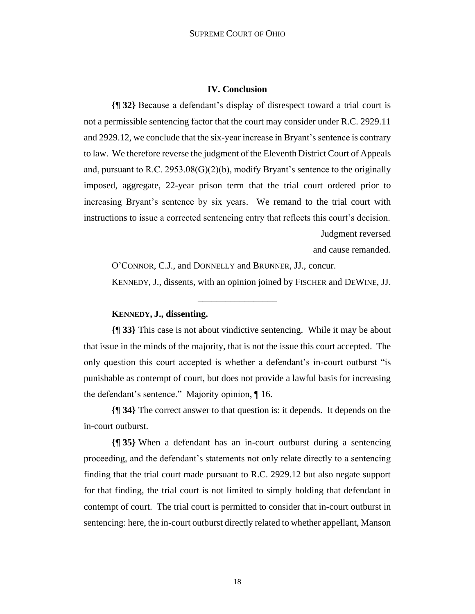## **IV. Conclusion**

**{¶ 32}** Because a defendant's display of disrespect toward a trial court is not a permissible sentencing factor that the court may consider under R.C. 2929.11 and 2929.12, we conclude that the six-year increase in Bryant's sentence is contrary to law. We therefore reverse the judgment of the Eleventh District Court of Appeals and, pursuant to R.C.  $2953.08(G)(2)(b)$ , modify Bryant's sentence to the originally imposed, aggregate, 22-year prison term that the trial court ordered prior to increasing Bryant's sentence by six years. We remand to the trial court with instructions to issue a corrected sentencing entry that reflects this court's decision. Judgment reversed

and cause remanded.

O'CONNOR, C.J., and DONNELLY and BRUNNER, JJ., concur.

KENNEDY, J., dissents, with an opinion joined by FISCHER and DEWINE, JJ.

## **KENNEDY, J., dissenting.**

**{¶ 33}** This case is not about vindictive sentencing. While it may be about that issue in the minds of the majority, that is not the issue this court accepted. The only question this court accepted is whether a defendant's in-court outburst "is punishable as contempt of court, but does not provide a lawful basis for increasing the defendant's sentence." Majority opinion, ¶ 16.

\_\_\_\_\_\_\_\_\_\_\_\_\_\_\_\_\_

**{¶ 34}** The correct answer to that question is: it depends. It depends on the in-court outburst.

**{¶ 35}** When a defendant has an in-court outburst during a sentencing proceeding, and the defendant's statements not only relate directly to a sentencing finding that the trial court made pursuant to R.C. 2929.12 but also negate support for that finding, the trial court is not limited to simply holding that defendant in contempt of court. The trial court is permitted to consider that in-court outburst in sentencing: here, the in-court outburst directly related to whether appellant, Manson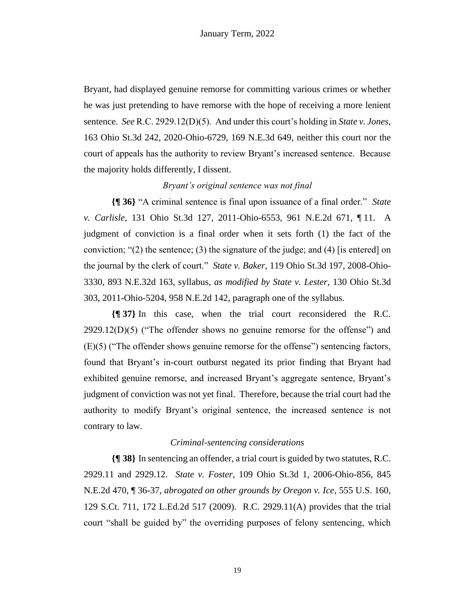Bryant, had displayed genuine remorse for committing various crimes or whether he was just pretending to have remorse with the hope of receiving a more lenient sentence. *See* R.C. 2929.12(D)(5). And under this court's holding in *State v. Jones*, 163 Ohio St.3d 242, 2020-Ohio-6729, 169 N.E.3d 649, neither this court nor the court of appeals has the authority to review Bryant's increased sentence. Because the majority holds differently, I dissent.

## *Bryant's original sentence was not final*

**{¶ 36}** "A criminal sentence is final upon issuance of a final order." *State v. Carlisle*, 131 Ohio St.3d 127, 2011-Ohio-6553, 961 N.E.2d 671, ¶ 11. A judgment of conviction is a final order when it sets forth (1) the fact of the conviction; "(2) the sentence; (3) the signature of the judge; and (4) [is entered] on the journal by the clerk of court." *State v. Baker*, 119 Ohio St.3d 197, 2008-Ohio-3330, 893 N.E.32d 163, syllabus, *as modified by State v. Lester*, 130 Ohio St.3d 303, 2011-Ohio-5204, 958 N.E.2d 142, paragraph one of the syllabus.

**{¶ 37}** In this case, when the trial court reconsidered the R.C.  $2929.12(D)(5)$  ("The offender shows no genuine remorse for the offense") and (E)(5) ("The offender shows genuine remorse for the offense") sentencing factors, found that Bryant's in-court outburst negated its prior finding that Bryant had exhibited genuine remorse, and increased Bryant's aggregate sentence, Bryant's judgment of conviction was not yet final. Therefore, because the trial court had the authority to modify Bryant's original sentence, the increased sentence is not contrary to law.

## *Criminal-sentencing considerations*

**{¶ 38}** In sentencing an offender, a trial court is guided by two statutes, R.C. 2929.11 and 2929.12. *State v. Foster*, 109 Ohio St.3d 1, 2006-Ohio-856, 845 N.E.2d 470, ¶ 36-37, *abrogated on other grounds by Oregon v. Ice*, 555 U.S. 160, 129 S.Ct. 711, 172 L.Ed.2d 517 (2009). R.C. 2929.11(A) provides that the trial court "shall be guided by" the overriding purposes of felony sentencing, which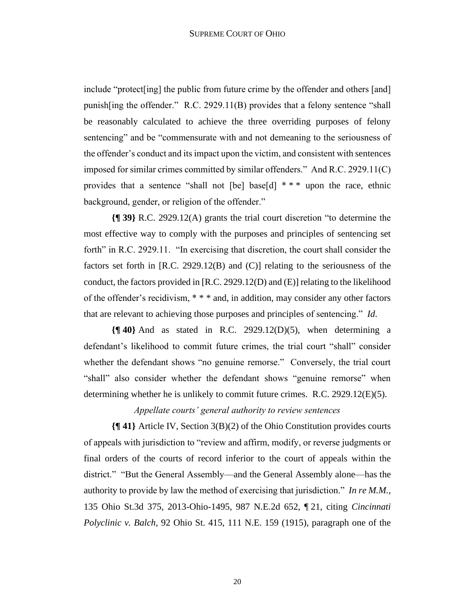include "protect[ing] the public from future crime by the offender and others [and] punish[ing the offender." R.C. 2929.11(B) provides that a felony sentence "shall be reasonably calculated to achieve the three overriding purposes of felony sentencing" and be "commensurate with and not demeaning to the seriousness of the offender's conduct and its impact upon the victim, and consistent with sentences imposed for similar crimes committed by similar offenders." And R.C. 2929.11(C) provides that a sentence "shall not [be] base[d] \* \* \* upon the race, ethnic background, gender, or religion of the offender."

**{¶ 39}** R.C. 2929.12(A) grants the trial court discretion "to determine the most effective way to comply with the purposes and principles of sentencing set forth" in R.C. 2929.11. "In exercising that discretion, the court shall consider the factors set forth in [R.C. 2929.12(B) and (C)] relating to the seriousness of the conduct, the factors provided in [R.C. 2929.12(D) and (E)] relating to the likelihood of the offender's recidivism, \* \* \* and, in addition, may consider any other factors that are relevant to achieving those purposes and principles of sentencing." *Id*.

**{¶ 40}** And as stated in R.C. 2929.12(D)(5), when determining a defendant's likelihood to commit future crimes, the trial court "shall" consider whether the defendant shows "no genuine remorse." Conversely, the trial court "shall" also consider whether the defendant shows "genuine remorse" when determining whether he is unlikely to commit future crimes. R.C. 2929.12(E)(5).

*Appellate courts' general authority to review sentences*

**{¶ 41}** Article IV, Section 3(B)(2) of the Ohio Constitution provides courts of appeals with jurisdiction to "review and affirm, modify, or reverse judgments or final orders of the courts of record inferior to the court of appeals within the district." "But the General Assembly—and the General Assembly alone—has the authority to provide by law the method of exercising that jurisdiction." *In re M.M.*, 135 Ohio St.3d 375, 2013-Ohio-1495, 987 N.E.2d 652, ¶ 21, citing *Cincinnati Polyclinic v. Balch*, 92 Ohio St. 415, 111 N.E. 159 (1915), paragraph one of the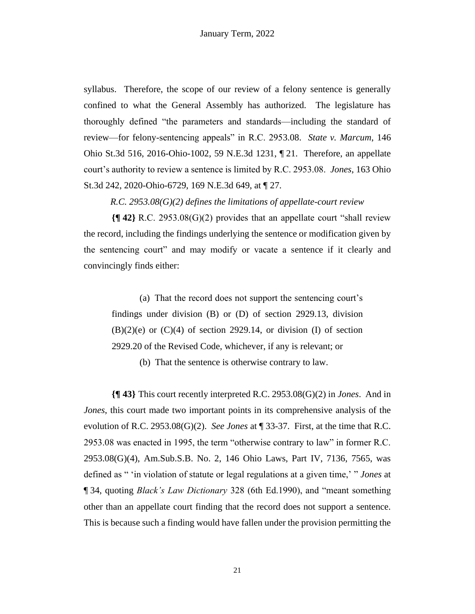syllabus. Therefore, the scope of our review of a felony sentence is generally confined to what the General Assembly has authorized. The legislature has thoroughly defined "the parameters and standards—including the standard of review—for felony-sentencing appeals" in R.C. 2953.08. *State v. Marcum*, 146 Ohio St.3d 516, 2016-Ohio-1002, 59 N.E.3d 1231, ¶ 21. Therefore, an appellate court's authority to review a sentence is limited by R.C. 2953.08. *Jones*, 163 Ohio St.3d 242, 2020-Ohio-6729, 169 N.E.3d 649, at ¶ 27.

*R.C. 2953.08(G)(2) defines the limitations of appellate-court review*

**{¶ 42}** R.C. 2953.08(G)(2) provides that an appellate court "shall review the record, including the findings underlying the sentence or modification given by the sentencing court" and may modify or vacate a sentence if it clearly and convincingly finds either:

(a) That the record does not support the sentencing court's findings under division (B) or (D) of section 2929.13, division  $(B)(2)(e)$  or  $(C)(4)$  of section 2929.14, or division (I) of section 2929.20 of the Revised Code, whichever, if any is relevant; or

(b) That the sentence is otherwise contrary to law.

**{¶ 43}** This court recently interpreted R.C. 2953.08(G)(2) in *Jones*. And in *Jones*, this court made two important points in its comprehensive analysis of the evolution of R.C. 2953.08(G)(2). *See Jones* at ¶ 33-37. First, at the time that R.C. 2953.08 was enacted in 1995, the term "otherwise contrary to law" in former R.C. 2953.08(G)(4), Am.Sub.S.B. No. 2, 146 Ohio Laws, Part IV, 7136, 7565, was defined as " 'in violation of statute or legal regulations at a given time,' " *Jones* at ¶ 34, quoting *Black's Law Dictionary* 328 (6th Ed.1990), and "meant something other than an appellate court finding that the record does not support a sentence. This is because such a finding would have fallen under the provision permitting the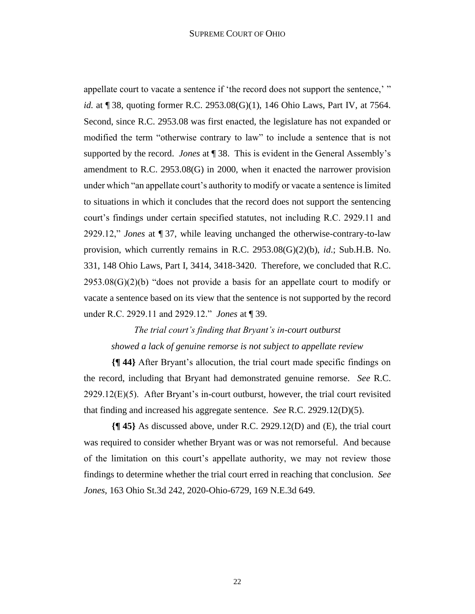#### SUPREME COURT OF OHIO

appellate court to vacate a sentence if 'the record does not support the sentence,' " *id.* at ¶ 38, quoting former R.C. 2953.08(G)(1), 146 Ohio Laws, Part IV, at 7564. Second, since R.C. 2953.08 was first enacted, the legislature has not expanded or modified the term "otherwise contrary to law" to include a sentence that is not supported by the record. *Jones* at ¶ 38. This is evident in the General Assembly's amendment to R.C. 2953.08(G) in 2000, when it enacted the narrower provision under which "an appellate court's authority to modify or vacate a sentence is limited to situations in which it concludes that the record does not support the sentencing court's findings under certain specified statutes, not including R.C. 2929.11 and 2929.12," *Jones* at ¶ 37, while leaving unchanged the otherwise-contrary-to-law provision, which currently remains in R.C. 2953.08(G)(2)(b), *id*.; Sub.H.B. No. 331, 148 Ohio Laws, Part I, 3414, 3418-3420. Therefore, we concluded that R.C.  $2953.08(G)(2)(b)$  "does not provide a basis for an appellate court to modify or vacate a sentence based on its view that the sentence is not supported by the record under R.C. 2929.11 and 2929.12." *Jones* at ¶ 39.

# *The trial court's finding that Bryant's in-court outburst showed a lack of genuine remorse is not subject to appellate review*

**{¶ 44}** After Bryant's allocution, the trial court made specific findings on the record, including that Bryant had demonstrated genuine remorse. *See* R.C.  $2929.12(E)(5)$ . After Bryant's in-court outburst, however, the trial court revisited that finding and increased his aggregate sentence. *See* R.C. 2929.12(D)(5).

**{¶ 45}** As discussed above, under R.C. 2929.12(D) and (E), the trial court was required to consider whether Bryant was or was not remorseful. And because of the limitation on this court's appellate authority, we may not review those findings to determine whether the trial court erred in reaching that conclusion. *See Jones*, 163 Ohio St.3d 242, 2020-Ohio-6729, 169 N.E.3d 649.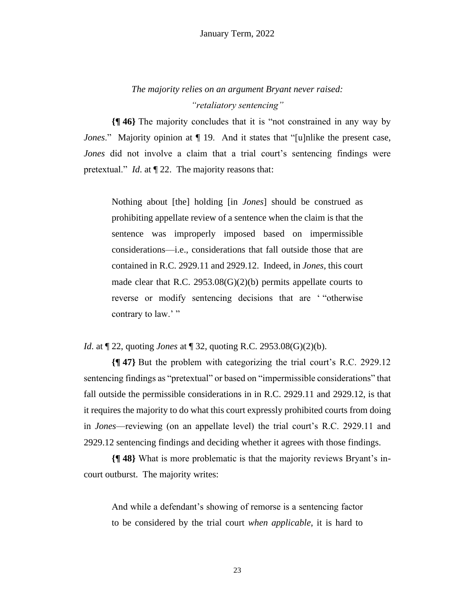# *The majority relies on an argument Bryant never raised: "retaliatory sentencing"*

**{¶ 46}** The majority concludes that it is "not constrained in any way by *Jones*." Majority opinion at  $\P$  19. And it states that "[u]nlike the present case, *Jones* did not involve a claim that a trial court's sentencing findings were pretextual." *Id*. at ¶ 22. The majority reasons that:

Nothing about [the] holding [in *Jones*] should be construed as prohibiting appellate review of a sentence when the claim is that the sentence was improperly imposed based on impermissible considerations—i.e., considerations that fall outside those that are contained in R.C. 2929.11 and 2929.12. Indeed, in *Jones*, this court made clear that R.C. 2953.08(G)(2)(b) permits appellate courts to reverse or modify sentencing decisions that are ' "otherwise contrary to law.'"

*Id*. at ¶ 22, quoting *Jones* at ¶ 32, quoting R.C. 2953.08(G)(2)(b).

**{¶ 47}** But the problem with categorizing the trial court's R.C. 2929.12 sentencing findings as "pretextual" or based on "impermissible considerations" that fall outside the permissible considerations in in R.C. 2929.11 and 2929.12, is that it requires the majority to do what this court expressly prohibited courts from doing in *Jones*—reviewing (on an appellate level) the trial court's R.C. 2929.11 and 2929.12 sentencing findings and deciding whether it agrees with those findings.

**{¶ 48}** What is more problematic is that the majority reviews Bryant's incourt outburst. The majority writes:

And while a defendant's showing of remorse is a sentencing factor to be considered by the trial court *when applicable*, it is hard to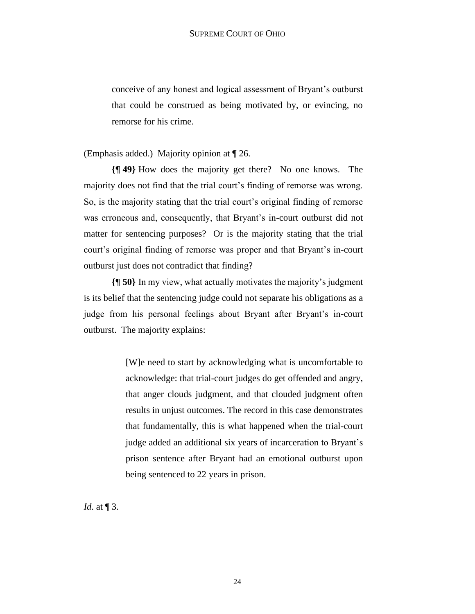conceive of any honest and logical assessment of Bryant's outburst that could be construed as being motivated by, or evincing, no remorse for his crime.

(Emphasis added.) Majority opinion at ¶ 26.

**{¶ 49}** How does the majority get there? No one knows. The majority does not find that the trial court's finding of remorse was wrong. So, is the majority stating that the trial court's original finding of remorse was erroneous and, consequently, that Bryant's in-court outburst did not matter for sentencing purposes? Or is the majority stating that the trial court's original finding of remorse was proper and that Bryant's in-court outburst just does not contradict that finding?

**{¶ 50}** In my view, what actually motivates the majority's judgment is its belief that the sentencing judge could not separate his obligations as a judge from his personal feelings about Bryant after Bryant's in-court outburst. The majority explains:

> [W]e need to start by acknowledging what is uncomfortable to acknowledge: that trial-court judges do get offended and angry, that anger clouds judgment, and that clouded judgment often results in unjust outcomes. The record in this case demonstrates that fundamentally, this is what happened when the trial-court judge added an additional six years of incarceration to Bryant's prison sentence after Bryant had an emotional outburst upon being sentenced to 22 years in prison.

*Id.* at  $\P$  3.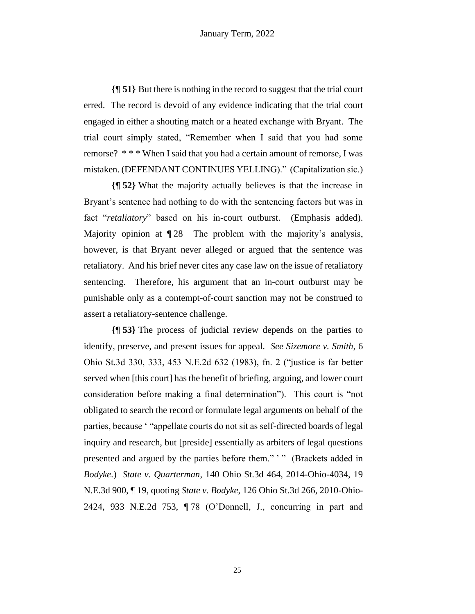**{¶ 51}** But there is nothing in the record to suggest that the trial court erred. The record is devoid of any evidence indicating that the trial court engaged in either a shouting match or a heated exchange with Bryant. The trial court simply stated, "Remember when I said that you had some remorse? \* \* \* When I said that you had a certain amount of remorse, I was mistaken. (DEFENDANT CONTINUES YELLING)." (Capitalization sic.)

**{¶ 52}** What the majority actually believes is that the increase in Bryant's sentence had nothing to do with the sentencing factors but was in fact "*retaliatory*" based on his in-court outburst. (Emphasis added). Majority opinion at  $\sqrt{28}$  The problem with the majority's analysis, however, is that Bryant never alleged or argued that the sentence was retaliatory. And his brief never cites any case law on the issue of retaliatory sentencing. Therefore, his argument that an in-court outburst may be punishable only as a contempt-of-court sanction may not be construed to assert a retaliatory-sentence challenge.

**{¶ 53}** The process of judicial review depends on the parties to identify, preserve, and present issues for appeal. *See Sizemore v. Smith*, 6 Ohio St.3d 330, 333, 453 N.E.2d 632 (1983), fn. 2 ("justice is far better served when [this court] has the benefit of briefing, arguing, and lower court consideration before making a final determination"). This court is "not obligated to search the record or formulate legal arguments on behalf of the parties, because ' "appellate courts do not sit as self-directed boards of legal inquiry and research, but [preside] essentially as arbiters of legal questions presented and argued by the parties before them." ' " (Brackets added in *Bodyke*.) *State v. Quarterman*, 140 Ohio St.3d 464, 2014-Ohio-4034, 19 N.E.3d 900, ¶ 19, quoting *State v. Bodyke*, 126 Ohio St.3d 266, 2010-Ohio-2424, 933 N.E.2d 753, ¶ 78 (O'Donnell, J., concurring in part and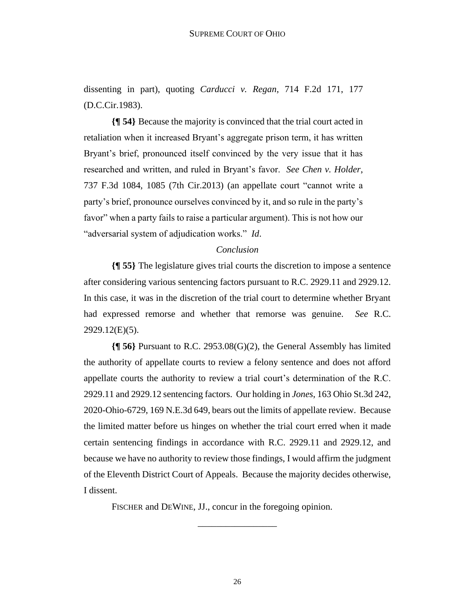dissenting in part), quoting *Carducci v. Regan*, 714 F.2d 171, 177 (D.C.Cir.1983).

**{¶ 54}** Because the majority is convinced that the trial court acted in retaliation when it increased Bryant's aggregate prison term, it has written Bryant's brief, pronounced itself convinced by the very issue that it has researched and written, and ruled in Bryant's favor. *See Chen v. Holder*, 737 F.3d 1084, 1085 (7th Cir.2013) (an appellate court "cannot write a party's brief, pronounce ourselves convinced by it, and so rule in the party's favor" when a party fails to raise a particular argument). This is not how our "adversarial system of adjudication works." *Id*.

### *Conclusion*

**{¶ 55}** The legislature gives trial courts the discretion to impose a sentence after considering various sentencing factors pursuant to R.C. 2929.11 and 2929.12. In this case, it was in the discretion of the trial court to determine whether Bryant had expressed remorse and whether that remorse was genuine. *See* R.C. 2929.12(E)(5).

**{¶ 56}** Pursuant to R.C. 2953.08(G)(2), the General Assembly has limited the authority of appellate courts to review a felony sentence and does not afford appellate courts the authority to review a trial court's determination of the R.C. 2929.11 and 2929.12 sentencing factors. Our holding in *Jones*, 163 Ohio St.3d 242, 2020-Ohio-6729, 169 N.E.3d 649, bears out the limits of appellate review. Because the limited matter before us hinges on whether the trial court erred when it made certain sentencing findings in accordance with R.C. 2929.11 and 2929.12, and because we have no authority to review those findings, I would affirm the judgment of the Eleventh District Court of Appeals. Because the majority decides otherwise, I dissent.

FISCHER and DEWINE, JJ., concur in the foregoing opinion.

\_\_\_\_\_\_\_\_\_\_\_\_\_\_\_\_\_